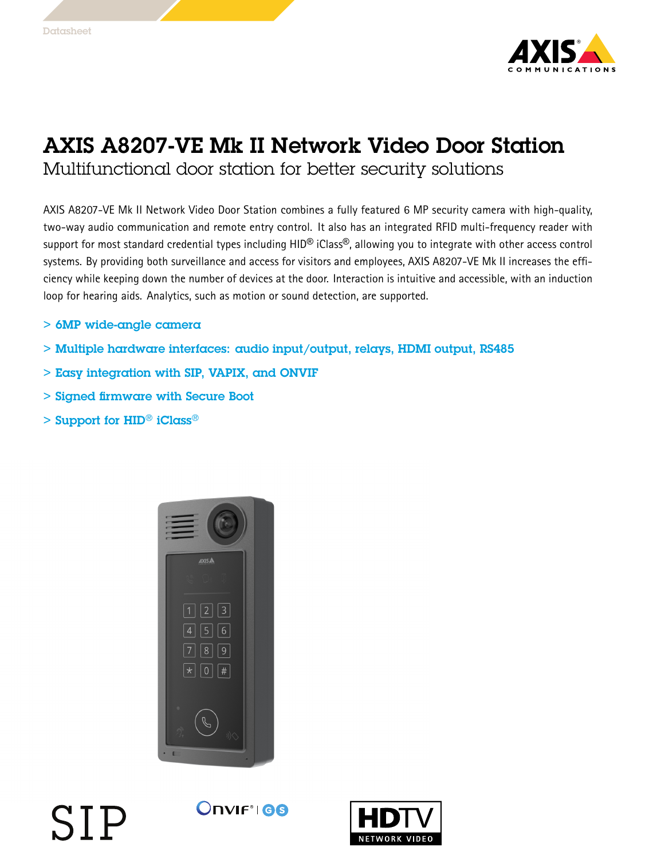

## AXIS A8207-VE Mk II Network Video Door Station Multifunctional door station for better security solutions

AXIS A8207-VE Mk II Network Video Door Station combines <sup>a</sup> fully featured 6 MP security camera with high-quality, two-way audio communication and remote entry control. It also has an integrated RFID multi-frequency reader with support for most standard credential types including  $HD^®$  iClass<sup>®</sup>, allowing you to integrate with other access control systems. By providing both surveillance and access for visitors and employees, AXIS A8207-VE Mk II increases the efficiency while keeping down the number of devices at the door. Interaction is intuitive and accessible, with an induction loop for hearing aids. Analytics, such as motion or sound detection, are supported.

- > 6MP wide-angle camera
- > Multiple hardware interfaces: audio input/output, relays, HDMI output, RS485
- > Easy integration with SIP, VAPIX, and ONVIF
- > Signed firmware with Secure Boot
- $>$  Support for HID® iClass®



## SIP



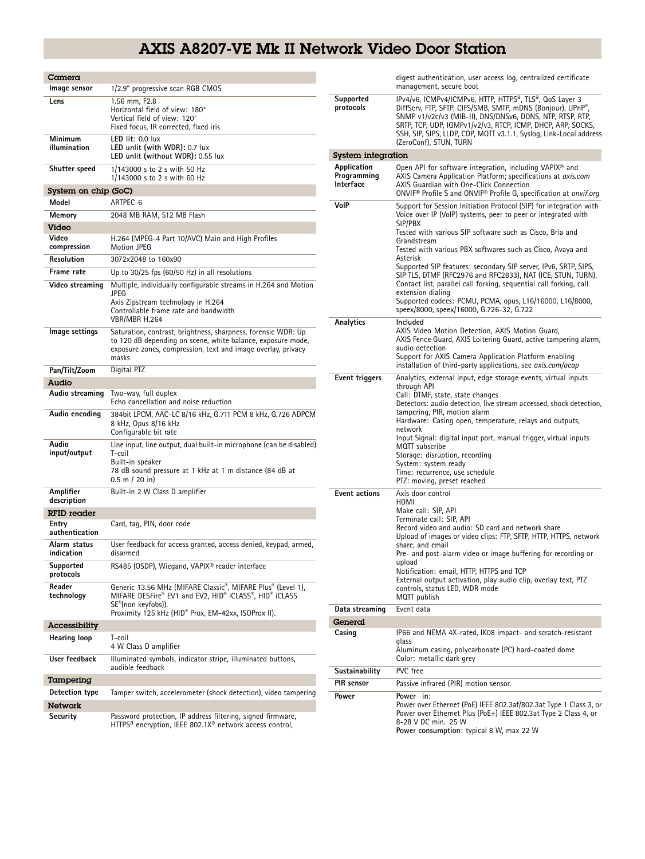## AXIS A8207-VE Mk II Network Video Door Station

| Camera                           |                                                                                                                                                                                                       |                                                                                                                                                                                                                                                                                                                                                                                                                                                                                        | digest authentication, user access log, centralized certificate                                                                                                                                                                                                                                                                                                              |
|----------------------------------|-------------------------------------------------------------------------------------------------------------------------------------------------------------------------------------------------------|----------------------------------------------------------------------------------------------------------------------------------------------------------------------------------------------------------------------------------------------------------------------------------------------------------------------------------------------------------------------------------------------------------------------------------------------------------------------------------------|------------------------------------------------------------------------------------------------------------------------------------------------------------------------------------------------------------------------------------------------------------------------------------------------------------------------------------------------------------------------------|
| Image sensor                     | 1/2.9" progressive scan RGB CMOS                                                                                                                                                                      |                                                                                                                                                                                                                                                                                                                                                                                                                                                                                        | management, secure boot                                                                                                                                                                                                                                                                                                                                                      |
| Lens<br>Minimum                  | 1.56 mm. F2.8<br>Horizontal field of view: 180°<br>Vertical field of view: 120°<br>Fixed focus, IR corrected, fixed iris<br>LED lit: 0.0 lux                                                          | Supported<br>protocols                                                                                                                                                                                                                                                                                                                                                                                                                                                                 | IPv4/v6, ICMPv4/ICMPv6, HTTP, HTTPS <sup>a</sup> , TLS <sup>a</sup> , QoS Layer 3<br>DiffServ, FTP, SFTP, CIFS/SMB, SMTP, mDNS (Bonjour), UPnP®,<br>SNMP v1/v2c/v3 (MIB-II), DNS/DNSv6, DDNS, NTP, RTSP, RTP,<br>SRTP, TCP, UDP, IGMPv1/v2/v3, RTCP, ICMP, DHCP, ARP, SOCKS,<br>SSH, SIP, SIPS, LLDP, CDP, MQTT v3.1.1, Syslog, Link-Local address<br>(ZeroConf), STUN, TURN |
| illumination                     | LED unlit (with WDR): 0.7 lux<br>LED unlit (without WDR): 0.55 lux                                                                                                                                    | System integration                                                                                                                                                                                                                                                                                                                                                                                                                                                                     |                                                                                                                                                                                                                                                                                                                                                                              |
| Shutter speed                    | 1/143000 s to 2 s with 50 Hz<br>1/143000 s to 2 s with 60 Hz                                                                                                                                          | Application<br>Programming<br>Interface                                                                                                                                                                                                                                                                                                                                                                                                                                                | Open API for software integration, including VAPIX <sup>®</sup> and<br>AXIS Camera Application Platform; specifications at axis.com<br>AXIS Guardian with One-Click Connection                                                                                                                                                                                               |
| System on chip (SoC)             |                                                                                                                                                                                                       |                                                                                                                                                                                                                                                                                                                                                                                                                                                                                        | ONVIF <sup>®</sup> Profile S and ONVIF <sup>®</sup> Profile G, specification at onvif.org                                                                                                                                                                                                                                                                                    |
| Model                            | ARTPEC-6                                                                                                                                                                                              | VolP                                                                                                                                                                                                                                                                                                                                                                                                                                                                                   | Support for Session Initiation Protocol (SIP) for integration with                                                                                                                                                                                                                                                                                                           |
| Memory                           | 2048 MB RAM, 512 MB Flash                                                                                                                                                                             |                                                                                                                                                                                                                                                                                                                                                                                                                                                                                        | Voice over IP (VoIP) systems, peer to peer or integrated with<br>SIP/PBX                                                                                                                                                                                                                                                                                                     |
| Video<br>Video<br>compression    | H.264 (MPEG-4 Part 10/AVC) Main and High Profiles<br>Motion JPEG                                                                                                                                      | Tested with various SIP software such as Cisco, Bria and<br>Grandstream<br>Tested with various PBX softwares such as Cisco, Avaya and<br>Asterisk<br>Supported SIP features: secondary SIP server, IPv6, SRTP, SIPS,<br>SIP TLS, DTMF (RFC2976 and RFC2833), NAT (ICE, STUN, TURN),<br>Contact list, parallel call forking, sequential call forking, call<br>extension dialing<br>Supported codecs: PCMU, PCMA, opus, L16/16000, L16/8000,<br>speex/8000, speex/16000, G.726-32, G.722 |                                                                                                                                                                                                                                                                                                                                                                              |
| Resolution                       | 3072x2048 to 160x90                                                                                                                                                                                   |                                                                                                                                                                                                                                                                                                                                                                                                                                                                                        |                                                                                                                                                                                                                                                                                                                                                                              |
| Frame rate                       | Up to 30/25 fps (60/50 Hz) in all resolutions                                                                                                                                                         |                                                                                                                                                                                                                                                                                                                                                                                                                                                                                        |                                                                                                                                                                                                                                                                                                                                                                              |
| Video streaming                  | Multiple, individually configurable streams in H.264 and Motion<br>JPEG<br>Axis Zipstream technology in H.264<br>Controllable frame rate and bandwidth<br>VBR/MBR H.264                               |                                                                                                                                                                                                                                                                                                                                                                                                                                                                                        |                                                                                                                                                                                                                                                                                                                                                                              |
| Image settings                   | Saturation, contrast, brightness, sharpness, forensic WDR: Up<br>to 120 dB depending on scene, white balance, exposure mode,<br>exposure zones, compression, text and image overlay, privacy<br>masks | Analytics                                                                                                                                                                                                                                                                                                                                                                                                                                                                              | Included<br>AXIS Video Motion Detection, AXIS Motion Guard,<br>AXIS Fence Guard, AXIS Loitering Guard, active tampering alarm,<br>audio detection<br>Support for AXIS Camera Application Platform enabling<br>installation of third-party applications, see axis.com/acap                                                                                                    |
| Pan/Tilt/Zoom                    | Digital PTZ                                                                                                                                                                                           | <b>Event triggers</b>                                                                                                                                                                                                                                                                                                                                                                                                                                                                  | Analytics, external input, edge storage events, virtual inputs                                                                                                                                                                                                                                                                                                               |
| Audio<br>Audio streaming         | Two-way, full duplex<br>Echo cancellation and noise reduction                                                                                                                                         |                                                                                                                                                                                                                                                                                                                                                                                                                                                                                        | through API<br>Call: DTMF, state, state changes<br>Detectors: audio detection, live stream accessed, shock detection,                                                                                                                                                                                                                                                        |
| Audio encoding                   | 384bit LPCM, AAC-LC 8/16 kHz, G.711 PCM 8 kHz, G.726 ADPCM<br>8 kHz, Opus 8/16 kHz<br>Configurable bit rate                                                                                           |                                                                                                                                                                                                                                                                                                                                                                                                                                                                                        | tampering, PIR, motion alarm<br>Hardware: Casing open, temperature, relays and outputs,<br>network<br>Input Signal: digital input port, manual trigger, virtual inputs                                                                                                                                                                                                       |
| Audio<br>input/output            | Line input, line output, dual built-in microphone (can be disabled)<br>T-coil<br>Built-in speaker<br>78 dB sound pressure at 1 kHz at 1 m distance (84 dB at<br>$0.5 \, \text{m}$ / 20 in)            |                                                                                                                                                                                                                                                                                                                                                                                                                                                                                        | MQTT subscribe<br>Storage: disruption, recording<br>System: system ready<br>Time: recurrence, use schedule<br>PTZ: moving, preset reached                                                                                                                                                                                                                                    |
| Amplifier<br>description         | Built-in 2 W Class D amplifier                                                                                                                                                                        | <b>Event actions</b>                                                                                                                                                                                                                                                                                                                                                                                                                                                                   | Axis door control<br>HDMI                                                                                                                                                                                                                                                                                                                                                    |
| RFID reader                      |                                                                                                                                                                                                       |                                                                                                                                                                                                                                                                                                                                                                                                                                                                                        | Make call: SIP, API<br>Terminate call: SIP, API                                                                                                                                                                                                                                                                                                                              |
| Entry<br>authentication          | Card, tag, PIN, door code                                                                                                                                                                             |                                                                                                                                                                                                                                                                                                                                                                                                                                                                                        | Record video and audio: SD card and network share<br>Upload of images or video clips: FTP, SFTP, HTTP, HTTPS, network                                                                                                                                                                                                                                                        |
| Alarm status<br>indication       | User feedback for access granted, access denied, keypad, armed,<br>disarmed                                                                                                                           |                                                                                                                                                                                                                                                                                                                                                                                                                                                                                        | share, and email<br>Pre- and post-alarm video or image buffering for recording or<br>upload                                                                                                                                                                                                                                                                                  |
| Supported<br>protocols<br>Reader | RS485 (OSDP), Wiegand, VAPIX® reader interface                                                                                                                                                        |                                                                                                                                                                                                                                                                                                                                                                                                                                                                                        | Notification: email, HTTP, HTTPS and TCP<br>External output activation, play audio clip, overlay text, PTZ                                                                                                                                                                                                                                                                   |
| technology                       | Generic 13.56 MHz (MIFARE Classic®, MIFARE Plus® (Level 1),<br>MIFARE DESFire® EV1 and EV2, HID® iCLASS®, HID® iCLASS<br>SE <sup>®</sup> (non keyfobs)).                                              |                                                                                                                                                                                                                                                                                                                                                                                                                                                                                        | controls, status LED, WDR mode<br>MQTT publish                                                                                                                                                                                                                                                                                                                               |
|                                  | Proximity 125 kHz (HID® Prox, EM-42xx, ISOProx II).                                                                                                                                                   | Data streaming                                                                                                                                                                                                                                                                                                                                                                                                                                                                         | Event data                                                                                                                                                                                                                                                                                                                                                                   |
| Accessibility                    |                                                                                                                                                                                                       | General<br>Casing                                                                                                                                                                                                                                                                                                                                                                                                                                                                      | IP66 and NEMA 4X-rated, IK08 impact- and scratch-resistant                                                                                                                                                                                                                                                                                                                   |
| Hearing loop                     | T-coil<br>4 W Class D amplifier                                                                                                                                                                       |                                                                                                                                                                                                                                                                                                                                                                                                                                                                                        | glass<br>Aluminum casing, polycarbonate (PC) hard-coated dome                                                                                                                                                                                                                                                                                                                |
| User feedback                    | Illuminated symbols, indicator stripe, illuminated buttons,<br>audible feedback                                                                                                                       |                                                                                                                                                                                                                                                                                                                                                                                                                                                                                        | Color: metallic dark grey                                                                                                                                                                                                                                                                                                                                                    |
| Tampering                        |                                                                                                                                                                                                       | Sustainability<br><b>PIR</b> sensor                                                                                                                                                                                                                                                                                                                                                                                                                                                    | PVC free<br>Passive infrared (PIR) motion sensor.                                                                                                                                                                                                                                                                                                                            |
| Detection type                   | Tamper switch, accelerometer (shock detection), video tampering                                                                                                                                       | Power                                                                                                                                                                                                                                                                                                                                                                                                                                                                                  | Power in:                                                                                                                                                                                                                                                                                                                                                                    |
| Network                          |                                                                                                                                                                                                       |                                                                                                                                                                                                                                                                                                                                                                                                                                                                                        | Power over Ethernet (PoE) IEEE 802.3af/802.3at Type 1 Class 3, or                                                                                                                                                                                                                                                                                                            |
| Security                         | Password protection, IP address filtering, signed firmware,<br>HTTPS <sup>a</sup> encryption, IEEE 802.1X <sup>a</sup> network access control,                                                        |                                                                                                                                                                                                                                                                                                                                                                                                                                                                                        | Power over Ethernet Plus (PoE+) IEEE 802.3at Type 2 Class 4, or<br>8-28 V DC min. 25 W<br>Power consumption: typical 8 W, max 22 W                                                                                                                                                                                                                                           |